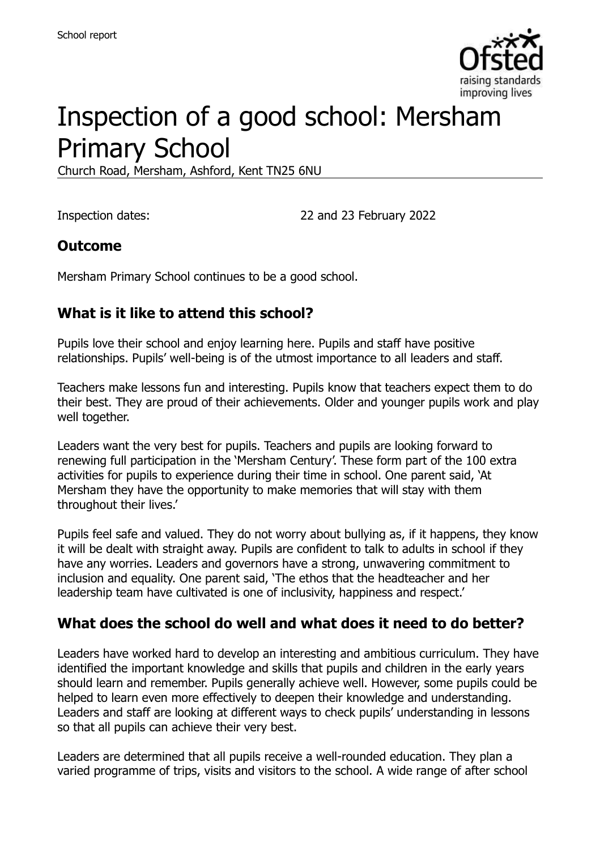

# Inspection of a good school: Mersham Primary School

Church Road, Mersham, Ashford, Kent TN25 6NU

Inspection dates: 22 and 23 February 2022

#### **Outcome**

Mersham Primary School continues to be a good school.

### **What is it like to attend this school?**

Pupils love their school and enjoy learning here. Pupils and staff have positive relationships. Pupils' well-being is of the utmost importance to all leaders and staff.

Teachers make lessons fun and interesting. Pupils know that teachers expect them to do their best. They are proud of their achievements. Older and younger pupils work and play well together.

Leaders want the very best for pupils. Teachers and pupils are looking forward to renewing full participation in the 'Mersham Century'. These form part of the 100 extra activities for pupils to experience during their time in school. One parent said, 'At Mersham they have the opportunity to make memories that will stay with them throughout their lives.'

Pupils feel safe and valued. They do not worry about bullying as, if it happens, they know it will be dealt with straight away. Pupils are confident to talk to adults in school if they have any worries. Leaders and governors have a strong, unwavering commitment to inclusion and equality. One parent said, 'The ethos that the headteacher and her leadership team have cultivated is one of inclusivity, happiness and respect.'

#### **What does the school do well and what does it need to do better?**

Leaders have worked hard to develop an interesting and ambitious curriculum. They have identified the important knowledge and skills that pupils and children in the early years should learn and remember. Pupils generally achieve well. However, some pupils could be helped to learn even more effectively to deepen their knowledge and understanding. Leaders and staff are looking at different ways to check pupils' understanding in lessons so that all pupils can achieve their very best.

Leaders are determined that all pupils receive a well-rounded education. They plan a varied programme of trips, visits and visitors to the school. A wide range of after school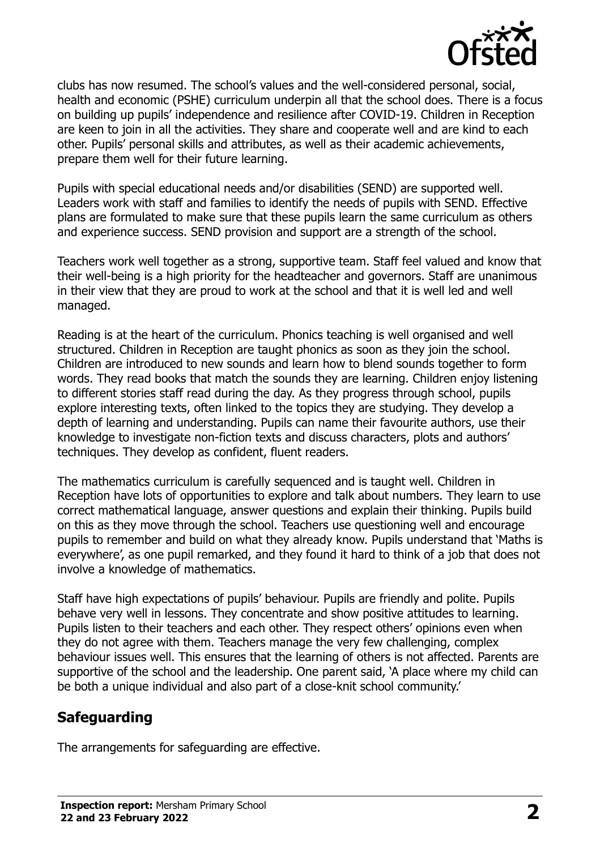

clubs has now resumed. The school's values and the well-considered personal, social, health and economic (PSHE) curriculum underpin all that the school does. There is a focus on building up pupils' independence and resilience after COVID-19. Children in Reception are keen to join in all the activities. They share and cooperate well and are kind to each other. Pupils' personal skills and attributes, as well as their academic achievements, prepare them well for their future learning.

Pupils with special educational needs and/or disabilities (SEND) are supported well. Leaders work with staff and families to identify the needs of pupils with SEND. Effective plans are formulated to make sure that these pupils learn the same curriculum as others and experience success. SEND provision and support are a strength of the school.

Teachers work well together as a strong, supportive team. Staff feel valued and know that their well-being is a high priority for the headteacher and governors. Staff are unanimous in their view that they are proud to work at the school and that it is well led and well managed.

Reading is at the heart of the curriculum. Phonics teaching is well organised and well structured. Children in Reception are taught phonics as soon as they join the school. Children are introduced to new sounds and learn how to blend sounds together to form words. They read books that match the sounds they are learning. Children enjoy listening to different stories staff read during the day. As they progress through school, pupils explore interesting texts, often linked to the topics they are studying. They develop a depth of learning and understanding. Pupils can name their favourite authors, use their knowledge to investigate non-fiction texts and discuss characters, plots and authors' techniques. They develop as confident, fluent readers.

The mathematics curriculum is carefully sequenced and is taught well. Children in Reception have lots of opportunities to explore and talk about numbers. They learn to use correct mathematical language, answer questions and explain their thinking. Pupils build on this as they move through the school. Teachers use questioning well and encourage pupils to remember and build on what they already know. Pupils understand that 'Maths is everywhere', as one pupil remarked, and they found it hard to think of a job that does not involve a knowledge of mathematics.

Staff have high expectations of pupils' behaviour. Pupils are friendly and polite. Pupils behave very well in lessons. They concentrate and show positive attitudes to learning. Pupils listen to their teachers and each other. They respect others' opinions even when they do not agree with them. Teachers manage the very few challenging, complex behaviour issues well. This ensures that the learning of others is not affected. Parents are supportive of the school and the leadership. One parent said, 'A place where my child can be both a unique individual and also part of a close-knit school community.'

# **Safeguarding**

The arrangements for safeguarding are effective.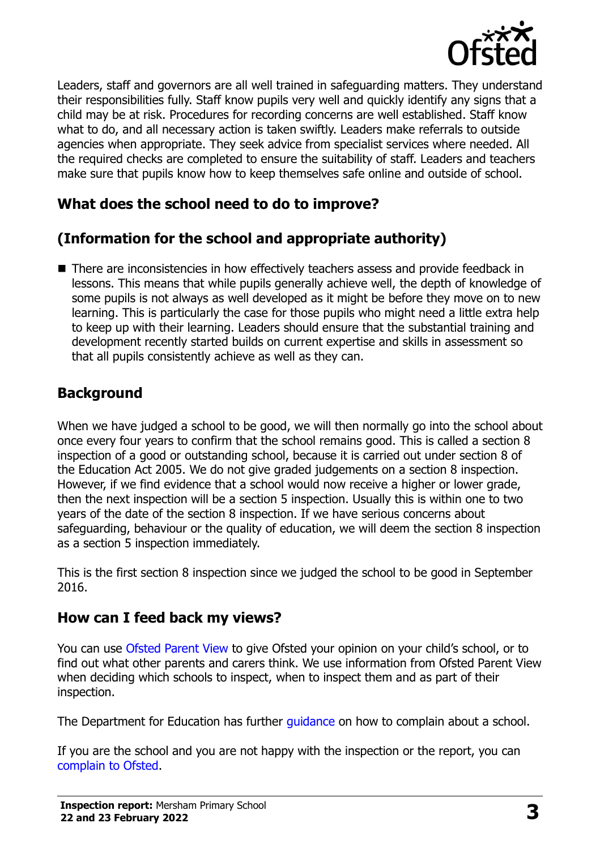

Leaders, staff and governors are all well trained in safeguarding matters. They understand their responsibilities fully. Staff know pupils very well and quickly identify any signs that a child may be at risk. Procedures for recording concerns are well established. Staff know what to do, and all necessary action is taken swiftly. Leaders make referrals to outside agencies when appropriate. They seek advice from specialist services where needed. All the required checks are completed to ensure the suitability of staff. Leaders and teachers make sure that pupils know how to keep themselves safe online and outside of school.

# **What does the school need to do to improve?**

# **(Information for the school and appropriate authority)**

■ There are inconsistencies in how effectively teachers assess and provide feedback in lessons. This means that while pupils generally achieve well, the depth of knowledge of some pupils is not always as well developed as it might be before they move on to new learning. This is particularly the case for those pupils who might need a little extra help to keep up with their learning. Leaders should ensure that the substantial training and development recently started builds on current expertise and skills in assessment so that all pupils consistently achieve as well as they can.

### **Background**

When we have judged a school to be good, we will then normally go into the school about once every four years to confirm that the school remains good. This is called a section 8 inspection of a good or outstanding school, because it is carried out under section 8 of the Education Act 2005. We do not give graded judgements on a section 8 inspection. However, if we find evidence that a school would now receive a higher or lower grade, then the next inspection will be a section 5 inspection. Usually this is within one to two years of the date of the section 8 inspection. If we have serious concerns about safeguarding, behaviour or the quality of education, we will deem the section 8 inspection as a section 5 inspection immediately.

This is the first section 8 inspection since we judged the school to be good in September 2016.

#### **How can I feed back my views?**

You can use [Ofsted Parent View](https://parentview.ofsted.gov.uk/) to give Ofsted your opinion on your child's school, or to find out what other parents and carers think. We use information from Ofsted Parent View when deciding which schools to inspect, when to inspect them and as part of their inspection.

The Department for Education has further quidance on how to complain about a school.

If you are the school and you are not happy with the inspection or the report, you can [complain to Ofsted.](https://www.gov.uk/complain-ofsted-report)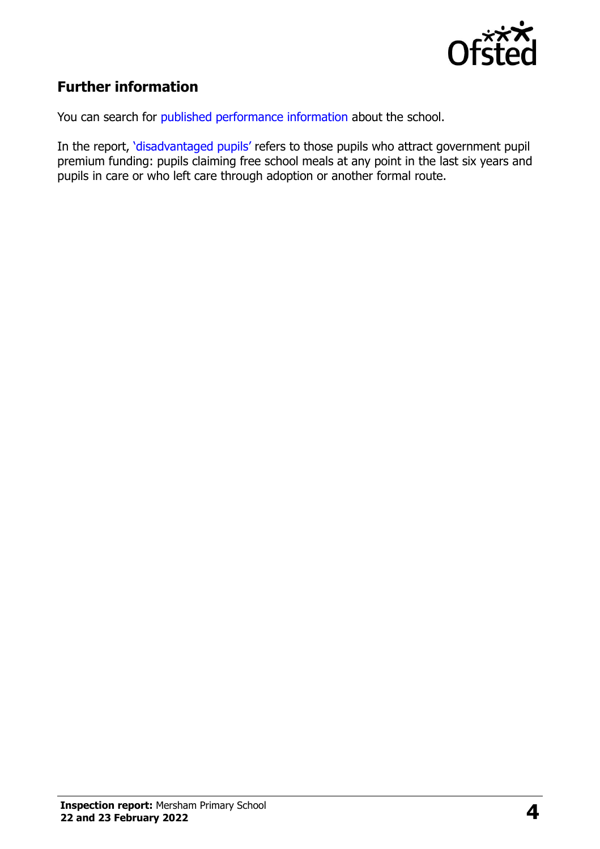

# **Further information**

You can search for [published performance information](http://www.compare-school-performance.service.gov.uk/) about the school.

In the report, '[disadvantaged pupils](http://www.gov.uk/guidance/pupil-premium-information-for-schools-and-alternative-provision-settings)' refers to those pupils who attract government pupil premium funding: pupils claiming free school meals at any point in the last six years and pupils in care or who left care through adoption or another formal route.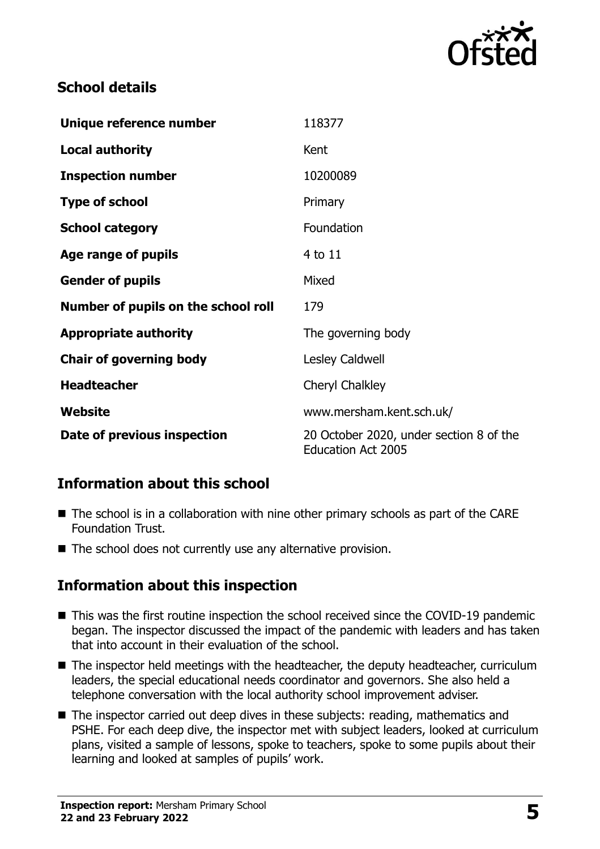

### **School details**

| Unique reference number             | 118377                                                               |
|-------------------------------------|----------------------------------------------------------------------|
| <b>Local authority</b>              | Kent                                                                 |
| <b>Inspection number</b>            | 10200089                                                             |
| <b>Type of school</b>               | Primary                                                              |
| <b>School category</b>              | Foundation                                                           |
| Age range of pupils                 | $4$ to $11$                                                          |
| <b>Gender of pupils</b>             | Mixed                                                                |
| Number of pupils on the school roll | 179                                                                  |
| <b>Appropriate authority</b>        | The governing body                                                   |
| <b>Chair of governing body</b>      | Lesley Caldwell                                                      |
| <b>Headteacher</b>                  | Cheryl Chalkley                                                      |
| Website                             | www.mersham.kent.sch.uk/                                             |
| Date of previous inspection         | 20 October 2020, under section 8 of the<br><b>Education Act 2005</b> |

# **Information about this school**

- The school is in a collaboration with nine other primary schools as part of the CARE Foundation Trust.
- The school does not currently use any alternative provision.

#### **Information about this inspection**

- This was the first routine inspection the school received since the COVID-19 pandemic began. The inspector discussed the impact of the pandemic with leaders and has taken that into account in their evaluation of the school.
- The inspector held meetings with the headteacher, the deputy headteacher, curriculum leaders, the special educational needs coordinator and governors. She also held a telephone conversation with the local authority school improvement adviser.
- The inspector carried out deep dives in these subjects: reading, mathematics and PSHE. For each deep dive, the inspector met with subject leaders, looked at curriculum plans, visited a sample of lessons, spoke to teachers, spoke to some pupils about their learning and looked at samples of pupils' work.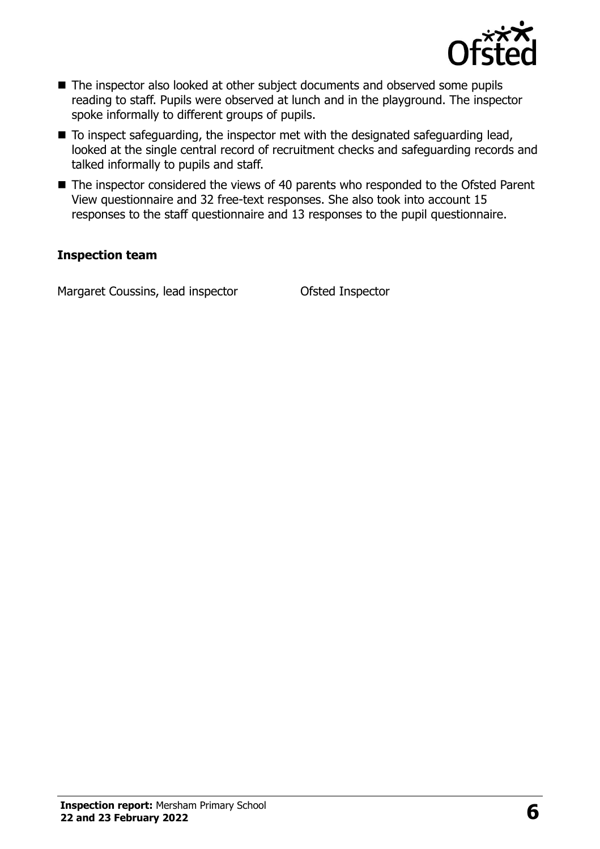

- The inspector also looked at other subject documents and observed some pupils reading to staff. Pupils were observed at lunch and in the playground. The inspector spoke informally to different groups of pupils.
- To inspect safeguarding, the inspector met with the designated safeguarding lead, looked at the single central record of recruitment checks and safeguarding records and talked informally to pupils and staff.
- The inspector considered the views of 40 parents who responded to the Ofsted Parent View questionnaire and 32 free-text responses. She also took into account 15 responses to the staff questionnaire and 13 responses to the pupil questionnaire.

#### **Inspection team**

Margaret Coussins, lead inspector **Ofsted Inspector**